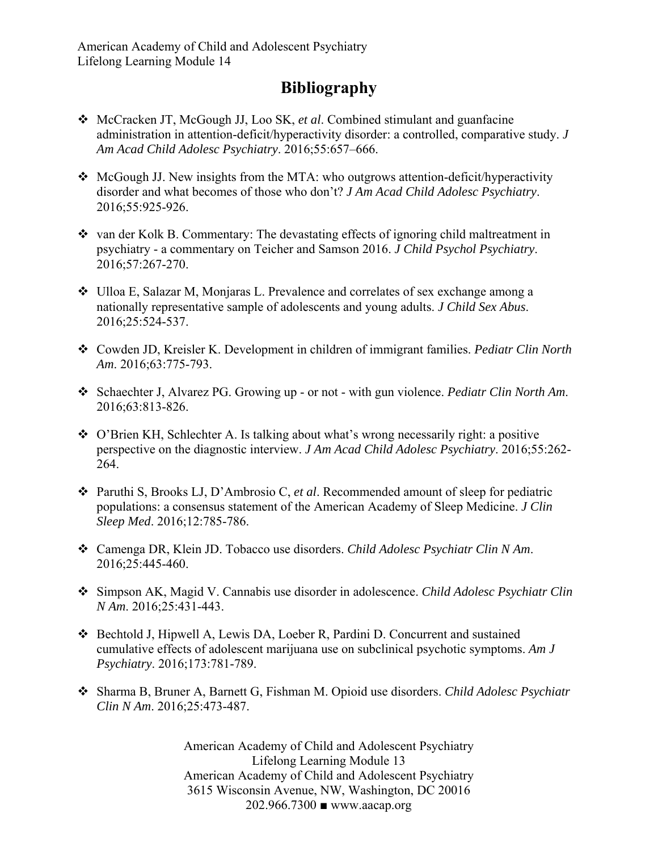## **Bibliography**

- McCracken JT, McGough JJ, Loo SK, *et al*. Combined stimulant and guanfacine administration in attention-deficit/hyperactivity disorder: a controlled, comparative study. *J Am Acad Child Adolesc Psychiatry*. 2016;55:657–666.
- McGough JJ. New insights from the MTA: who outgrows attention-deficit/hyperactivity disorder and what becomes of those who don't? *J Am Acad Child Adolesc Psychiatry*. 2016;55:925-926.
- \* van der Kolk B. Commentary: The devastating effects of ignoring child maltreatment in psychiatry - a commentary on Teicher and Samson 2016. *J Child Psychol Psychiatry*. 2016;57:267-270.
- Ulloa E, Salazar M, Monjaras L. Prevalence and correlates of sex exchange among a nationally representative sample of adolescents and young adults. *J Child Sex Abus*. 2016;25:524-537.
- Cowden JD, Kreisler K. Development in children of immigrant families. *Pediatr Clin North Am*. 2016;63:775-793.
- Schaechter J, Alvarez PG. Growing up or not with gun violence. *Pediatr Clin North Am*. 2016;63:813-826.
- O'Brien KH, Schlechter A. Is talking about what's wrong necessarily right: a positive perspective on the diagnostic interview. *J Am Acad Child Adolesc Psychiatry*. 2016;55:262- 264.
- Paruthi S, Brooks LJ, D'Ambrosio C, *et al*. Recommended amount of sleep for pediatric populations: a consensus statement of the American Academy of Sleep Medicine. *J Clin Sleep Med*. 2016;12:785-786.
- Camenga DR, Klein JD. Tobacco use disorders. *Child Adolesc Psychiatr Clin N Am*. 2016;25:445-460.
- Simpson AK, Magid V. Cannabis use disorder in adolescence. *Child Adolesc Psychiatr Clin N Am*. 2016;25:431-443.
- Bechtold J, Hipwell A, Lewis DA, Loeber R, Pardini D. Concurrent and sustained cumulative effects of adolescent marijuana use on subclinical psychotic symptoms. *Am J Psychiatry*. 2016;173:781-789.
- Sharma B, Bruner A, Barnett G, Fishman M. Opioid use disorders. *Child Adolesc Psychiatr Clin N Am*. 2016;25:473-487.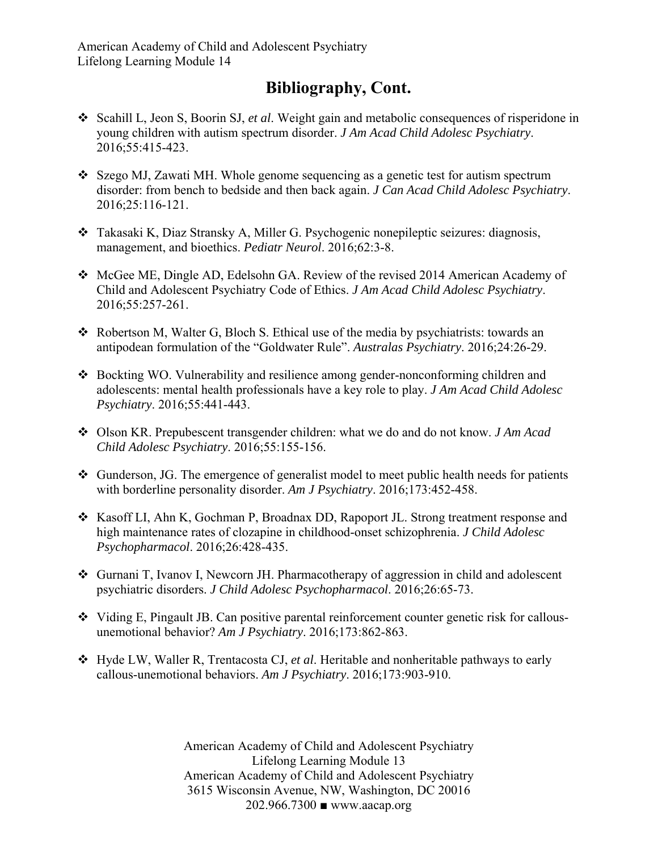## **Bibliography, Cont.**

- Scahill L, Jeon S, Boorin SJ, *et al*. Weight gain and metabolic consequences of risperidone in young children with autism spectrum disorder. *J Am Acad Child Adolesc Psychiatry*. 2016;55:415-423.
- Szego MJ, Zawati MH. Whole genome sequencing as a genetic test for autism spectrum disorder: from bench to bedside and then back again. *J Can Acad Child Adolesc Psychiatry*. 2016;25:116-121.
- Takasaki K, Diaz Stransky A, Miller G. Psychogenic nonepileptic seizures: diagnosis, management, and bioethics. *Pediatr Neurol*. 2016;62:3-8.
- $\div$  McGee ME, Dingle AD, Edelsohn GA. Review of the revised 2014 American Academy of Child and Adolescent Psychiatry Code of Ethics. *J Am Acad Child Adolesc Psychiatry*. 2016;55:257-261.
- Robertson M, Walter G, Bloch S. Ethical use of the media by psychiatrists: towards an antipodean formulation of the "Goldwater Rule". *Australas Psychiatry*. 2016;24:26-29.
- Bockting WO. Vulnerability and resilience among gender-nonconforming children and adolescents: mental health professionals have a key role to play. *J Am Acad Child Adolesc Psychiatry*. 2016;55:441-443.
- Olson KR. Prepubescent transgender children: what we do and do not know. *J Am Acad Child Adolesc Psychiatry*. 2016;55:155-156.
- $\triangleleft$  Gunderson, JG. The emergence of generalist model to meet public health needs for patients with borderline personality disorder. *Am J Psychiatry*. 2016;173:452-458.
- \* Kasoff LI, Ahn K, Gochman P, Broadnax DD, Rapoport JL. Strong treatment response and high maintenance rates of clozapine in childhood-onset schizophrenia. *J Child Adolesc Psychopharmacol*. 2016;26:428-435.
- Gurnani T, Ivanov I, Newcorn JH. Pharmacotherapy of aggression in child and adolescent psychiatric disorders. *J Child Adolesc Psychopharmacol*. 2016;26:65-73.
- $\div$  Viding E, Pingault JB. Can positive parental reinforcement counter genetic risk for callousunemotional behavior? *Am J Psychiatry*. 2016;173:862-863.
- Hyde LW, Waller R, Trentacosta CJ, *et al*. Heritable and nonheritable pathways to early callous-unemotional behaviors. *Am J Psychiatry*. 2016;173:903-910.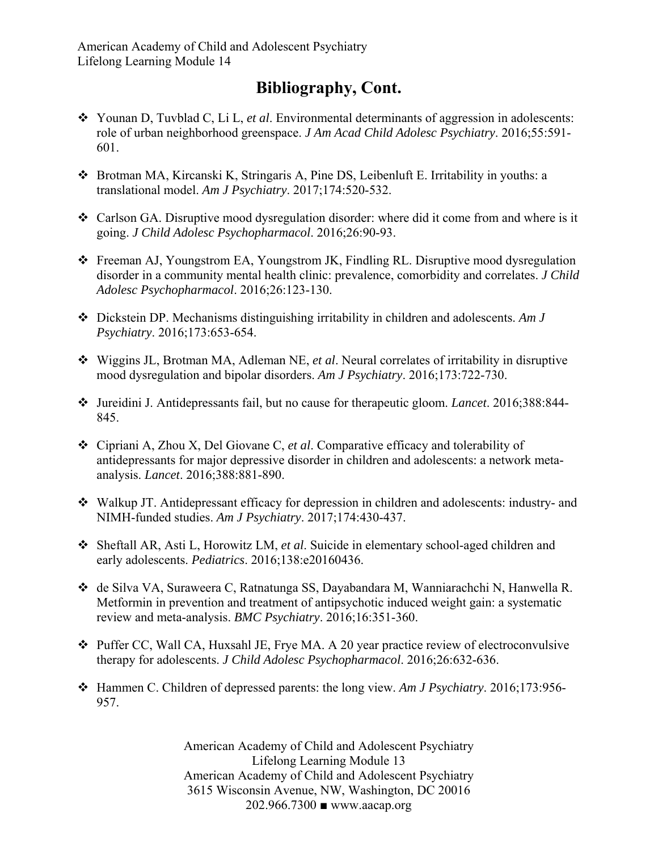## **Bibliography, Cont.**

- Younan D, Tuvblad C, Li L, *et al*. Environmental determinants of aggression in adolescents: role of urban neighborhood greenspace. *J Am Acad Child Adolesc Psychiatry*. 2016;55:591- 601.
- Brotman MA, Kircanski K, Stringaris A, Pine DS, Leibenluft E. Irritability in youths: a translational model. *Am J Psychiatry*. 2017;174:520-532.
- Carlson GA. Disruptive mood dysregulation disorder: where did it come from and where is it going. *J Child Adolesc Psychopharmacol*. 2016;26:90-93.
- Freeman AJ, Youngstrom EA, Youngstrom JK, Findling RL. Disruptive mood dysregulation disorder in a community mental health clinic: prevalence, comorbidity and correlates. *J Child Adolesc Psychopharmacol*. 2016;26:123-130.
- Dickstein DP. Mechanisms distinguishing irritability in children and adolescents. *Am J Psychiatry*. 2016;173:653-654.
- Wiggins JL, Brotman MA, Adleman NE, *et al*. Neural correlates of irritability in disruptive mood dysregulation and bipolar disorders. *Am J Psychiatry*. 2016;173:722-730.
- Jureidini J. Antidepressants fail, but no cause for therapeutic gloom. *Lancet*. 2016;388:844- 845.
- Cipriani A, Zhou X, Del Giovane C, *et al*. Comparative efficacy and tolerability of antidepressants for major depressive disorder in children and adolescents: a network metaanalysis. *Lancet*. 2016;388:881-890.
- Walkup JT. Antidepressant efficacy for depression in children and adolescents: industry- and NIMH-funded studies. *Am J Psychiatry*. 2017;174:430-437.
- Sheftall AR, Asti L, Horowitz LM, *et al*. Suicide in elementary school-aged children and early adolescents. *Pediatrics*. 2016;138:e20160436.
- de Silva VA, Suraweera C, Ratnatunga SS, Dayabandara M, Wanniarachchi N, Hanwella R. Metformin in prevention and treatment of antipsychotic induced weight gain: a systematic review and meta-analysis. *BMC Psychiatry*. 2016;16:351-360.
- Puffer CC, Wall CA, Huxsahl JE, Frye MA. A 20 year practice review of electroconvulsive therapy for adolescents. *J Child Adolesc Psychopharmacol*. 2016;26:632-636.
- Hammen C. Children of depressed parents: the long view. *Am J Psychiatry*. 2016;173:956- 957.